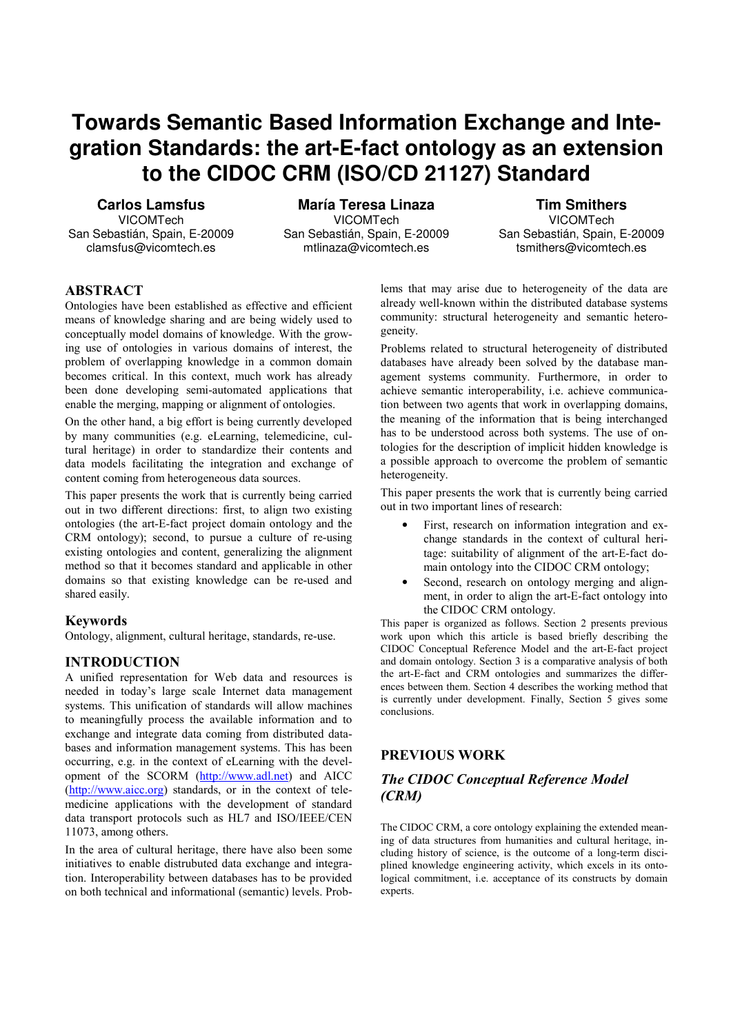# **Towards Semantic Based Information Exchange and Inte**gration Standards: the art-E-fact ontology as an extension to the CIDOC CRM (ISO/CD 21127) Standard

**Carlos Lamsfus** VICOMTech San Sebastián, Spain, E-20009 clamsfus@vicomtech.es

**María Teresa Linaza VICOMTech** San Sebastián, Spain, E-20009 mtlinaza@vicomtech.es

**Tim Smithers** VICOMTech San Sebastián, Spain, E-20009 tsmithers@vicomtech.es

## **ABSTRACT**

Ontologies have been established as effective and efficient means of knowledge sharing and are being widely used to conceptually model domains of knowledge. With the growing use of ontologies in various domains of interest, the problem of overlapping knowledge in a common domain becomes critical. In this context, much work has already been done developing semi-automated applications that enable the merging, mapping or alignment of ontologies.

On the other hand, a big effort is being currently developed by many communities (e.g. eLearning, telemedicine, cultural heritage) in order to standardize their contents and data models facilitating the integration and exchange of content coming from heterogeneous data sources.

This paper presents the work that is currently being carried out in two different directions: first, to align two existing ontologies (the art-E-fact project domain ontology and the CRM ontology); second, to pursue a culture of re-using existing ontologies and content, generalizing the alignment method so that it becomes standard and applicable in other domains so that existing knowledge can be re-used and shared easily.

#### **Keywords**

Ontology, alignment, cultural heritage, standards, re-use.

#### **INTRODUCTION**

A unified representation for Web data and resources is needed in today's large scale Internet data management systems. This unification of standards will allow machines to meaningfully process the available information and to exchange and integrate data coming from distributed databases and information management systems. This has been occurring, e.g. in the context of eLearning with the development of the SCORM (http://www.adl.net) and AICC  $(\frac{http://www.aicc.org)}{standards}$ , or in the context of telemedicine applications with the development of standard data transport protocols such as HL7 and ISO/IEEE/CEN 11073, among others.

In the area of cultural heritage, there have also been some initiatives to enable distrubuted data exchange and integration. Interoperability between databases has to be provided on both technical and informational (semantic) levels. Problems that may arise due to heterogeneity of the data are already well-known within the distributed database systems community: structural heterogeneity and semantic heterogeneity.

Problems related to structural heterogeneity of distributed databases have already been solved by the database management systems community. Furthermore, in order to achieve semantic interoperability, i.e. achieve communication between two agents that work in overlapping domains, the meaning of the information that is being interchanged has to be understood across both systems. The use of ontologies for the description of implicit hidden knowledge is a possible approach to overcome the problem of semantic heterogeneity.

This paper presents the work that is currently being carried out in two important lines of research:

- First, research on information integration and exchange standards in the context of cultural heritage: suitability of alignment of the art-E-fact domain ontology into the CIDOC CRM ontology;
- Second, research on ontology merging and alignment, in order to align the art-E-fact ontology into the CIDOC CRM ontology.

This paper is organized as follows. Section 2 presents previous work upon which this article is based briefly describing the CIDOC Conceptual Reference Model and the art-E-fact project and domain ontology. Section 3 is a comparative analysis of both the art-E-fact and CRM ontologies and summarizes the differences between them. Section 4 describes the working method that is currently under development. Finally, Section 5 gives some conclusions

#### **PREVIOUS WORK**

# **The CIDOC Conceptual Reference Model**  $(CRM)$

The CIDOC CRM, a core ontology explaining the extended meaning of data structures from humanities and cultural heritage, including history of science, is the outcome of a long-term disciplined knowledge engineering activity, which excels in its ontological commitment, i.e. acceptance of its constructs by domain experts.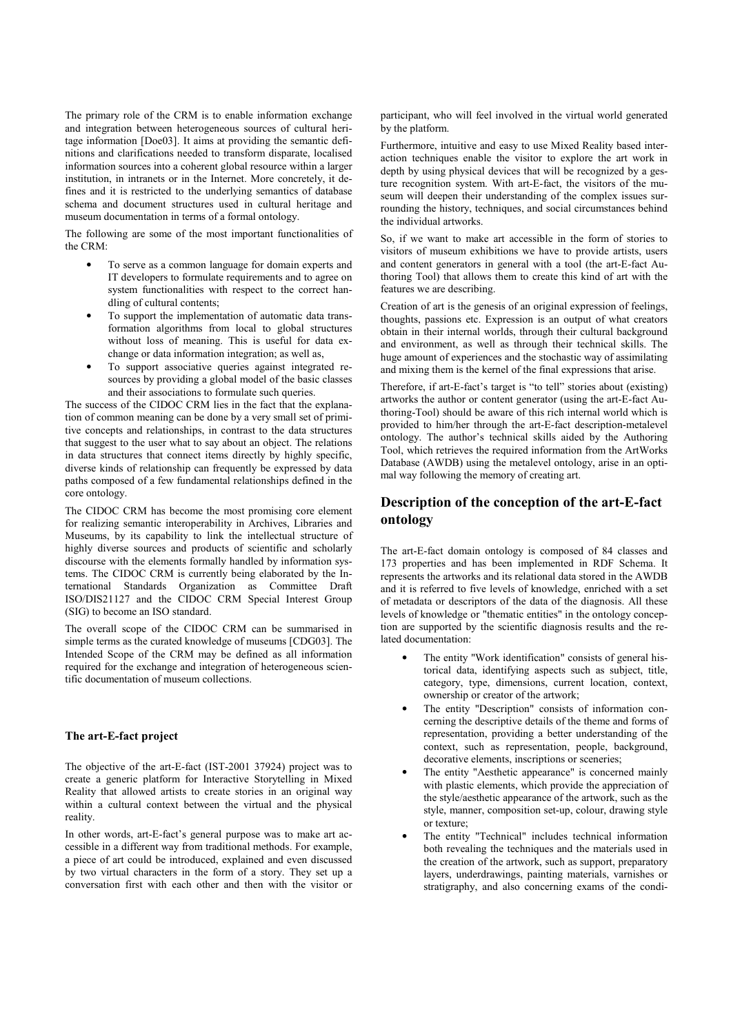The primary role of the CRM is to enable information exchange and integration between heterogeneous sources of cultural heritage information [Doe03]. It aims at providing the semantic definitions and clarifications needed to transform disparate, localised information sources into a coherent global resource within a larger institution, in intranets or in the Internet. More concretely, it defines and it is restricted to the underlying semantics of database schema and document structures used in cultural heritage and museum documentation in terms of a formal ontology.

The following are some of the most important functionalities of the CRM:

- To serve as a common language for domain experts and IT developers to formulate requirements and to agree on system functionalities with respect to the correct handling of cultural contents;
- To support the implementation of automatic data transformation algorithms from local to global structures without loss of meaning. This is useful for data exchange or data information integration; as well as,
- To support associative queries against integrated resources by providing a global model of the basic classes and their associations to formulate such queries.

The success of the CIDOC CRM lies in the fact that the explanation of common meaning can be done by a very small set of primitive concepts and relationships, in contrast to the data structures that suggest to the user what to say about an object. The relations in data structures that connect items directly by highly specific. diverse kinds of relationship can frequently be expressed by data paths composed of a few fundamental relationships defined in the core ontology.

The CIDOC CRM has become the most promising core element for realizing semantic interoperability in Archives, Libraries and Museums, by its capability to link the intellectual structure of highly diverse sources and products of scientific and scholarly discourse with the elements formally handled by information systems. The CIDOC CRM is currently being elaborated by the International Standards Organization as Committee Draft ISO/DIS21127 and the CIDOC CRM Special Interest Group (SIG) to become an ISO standard.

The overall scope of the CIDOC CRM can be summarised in simple terms as the curated knowledge of museums [CDG03]. The Intended Scope of the CRM may be defined as all information required for the exchange and integration of heterogeneous scientific documentation of museum collections.

#### The art-E-fact project

The objective of the art-E-fact (IST-2001 37924) project was to create a generic platform for Interactive Storytelling in Mixed Reality that allowed artists to create stories in an original way within a cultural context between the virtual and the physical reality

In other words, art-E-fact's general purpose was to make art accessible in a different way from traditional methods. For example, a piece of art could be introduced, explained and even discussed by two virtual characters in the form of a story. They set up a conversation first with each other and then with the visitor or

participant, who will feel involved in the virtual world generated by the platform.

Furthermore, intuitive and easy to use Mixed Reality based interaction techniques enable the visitor to explore the art work in depth by using physical devices that will be recognized by a gesture recognition system. With art-E-fact, the visitors of the museum will deepen their understanding of the complex issues surrounding the history, techniques, and social circumstances behind the individual artworks.

So, if we want to make art accessible in the form of stories to visitors of museum exhibitions we have to provide artists, users and content generators in general with a tool (the art-E-fact Authoring Tool) that allows them to create this kind of art with the features we are describing.

Creation of art is the genesis of an original expression of feelings, thoughts, passions etc. Expression is an output of what creators obtain in their internal worlds, through their cultural background and environment, as well as through their technical skills. The huge amount of experiences and the stochastic way of assimilating and mixing them is the kernel of the final expressions that arise.

Therefore, if art-E-fact's target is "to tell" stories about (existing) artworks the author or content generator (using the art-E-fact Authoring-Tool) should be aware of this rich internal world which is provided to him/her through the art-E-fact description-metalevel ontology. The author's technical skills aided by the Authoring Tool, which retrieves the required information from the ArtWorks Database (AWDB) using the metalevel ontology, arise in an optimal way following the memory of creating art.

### Description of the conception of the art-E-fact ontology

The art-E-fact domain ontology is composed of 84 classes and 173 properties and has been implemented in RDF Schema. It represents the artworks and its relational data stored in the AWDB and it is referred to five levels of knowledge, enriched with a set of metadata or descriptors of the data of the diagnosis. All these levels of knowledge or "thematic entities" in the ontology conception are supported by the scientific diagnosis results and the related documentation:

- The entity "Work identification" consists of general historical data, identifying aspects such as subject, title, category, type, dimensions, current location, context, ownership or creator of the artwork;
- The entity "Description" consists of information concerning the descriptive details of the theme and forms of representation, providing a better understanding of the context, such as representation, people, background, decorative elements, inscriptions or sceneries;
- The entity "Aesthetic appearance" is concerned mainly with plastic elements, which provide the appreciation of the style/aesthetic appearance of the artwork, such as the style, manner, composition set-up, colour, drawing style or texture;
- The entity "Technical" includes technical information both revealing the techniques and the materials used in the creation of the artwork, such as support, preparatory layers, underdrawings, painting materials, varnishes or stratigraphy, and also concerning exams of the condi-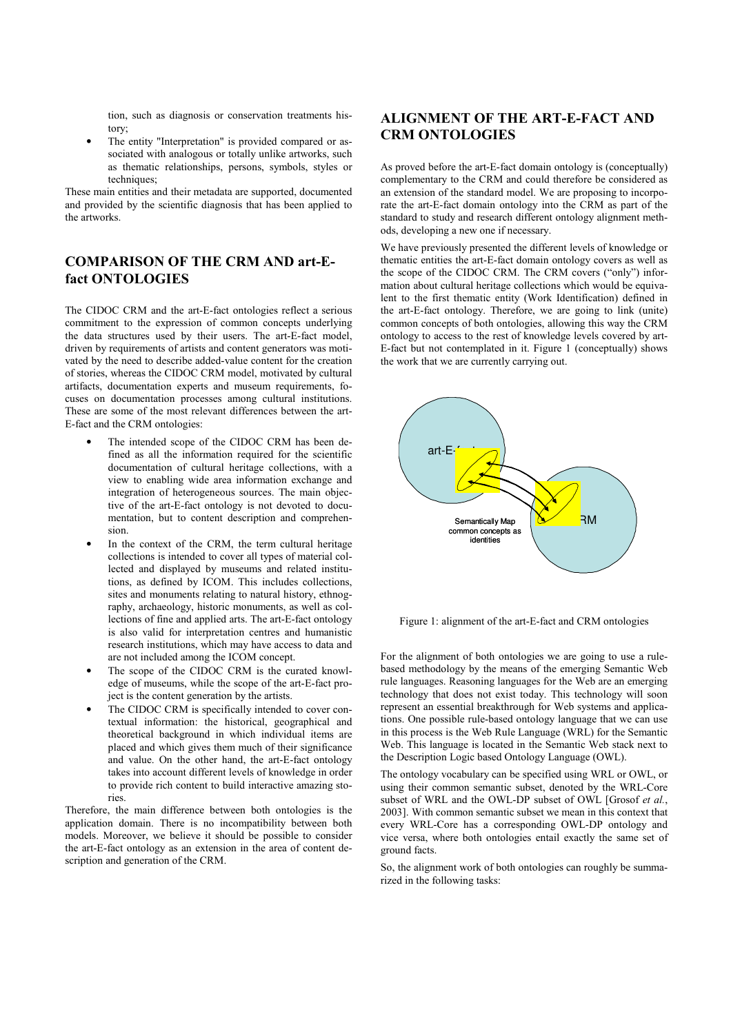tion, such as diagnosis or conservation treatments history:

The entity "Interpretation" is provided compared or associated with analogous or totally unlike artworks, such as thematic relationships, persons, symbols, styles or techniques;

These main entities and their metadata are supported, documented and provided by the scientific diagnosis that has been applied to the artworks

# **COMPARISON OF THE CRM AND art-E**fact ONTOLOGIES

The CIDOC CRM and the art-E-fact ontologies reflect a serious commitment to the expression of common concepts underlying the data structures used by their users. The art-E-fact model, driven by requirements of artists and content generators was motivated by the need to describe added-value content for the creation of stories, whereas the CIDOC CRM model, motivated by cultural artifacts, documentation experts and museum requirements, focuses on documentation processes among cultural institutions. These are some of the most relevant differences between the art-E-fact and the CRM ontologies:

- The intended scope of the CIDOC CRM has been defined as all the information required for the scientific documentation of cultural heritage collections, with a view to enabling wide area information exchange and integration of heterogeneous sources. The main objective of the art-E-fact ontology is not devoted to documentation, but to content description and comprehension.
- In the context of the CRM, the term cultural heritage collections is intended to cover all types of material collected and displayed by museums and related institutions, as defined by ICOM. This includes collections, sites and monuments relating to natural history, ethnography, archaeology, historic monuments, as well as collections of fine and applied arts. The art-E-fact ontology is also valid for interpretation centres and humanistic research institutions, which may have access to data and are not included among the ICOM concept.
- The scope of the CIDOC CRM is the curated knowledge of museums, while the scope of the art-E-fact project is the content generation by the artists.
- The CIDOC CRM is specifically intended to cover contextual information: the historical, geographical and theoretical background in which individual items are placed and which gives them much of their significance and value. On the other hand, the art-E-fact ontology takes into account different levels of knowledge in order to provide rich content to build interactive amazing stories

Therefore, the main difference between both ontologies is the application domain. There is no incompatibility between both models. Moreover, we believe it should be possible to consider the art-E-fact ontology as an extension in the area of content description and generation of the CRM.

# **ALIGNMENT OF THE ART-E-FACT AND CRM ONTOLOGIES**

As proved before the art-E-fact domain ontology is (conceptually) complementary to the CRM and could therefore be considered as an extension of the standard model. We are proposing to incorporate the art-E-fact domain ontology into the CRM as part of the standard to study and research different ontology alignment methods, developing a new one if necessary.

We have previously presented the different levels of knowledge or thematic entities the art-E-fact domain ontology covers as well as the scope of the CIDOC CRM. The CRM covers ("only") information about cultural heritage collections which would be equivalent to the first thematic entity (Work Identification) defined in the art-E-fact ontology. Therefore, we are going to link (unite) common concepts of both ontologies, allowing this way the CRM ontology to access to the rest of knowledge levels covered by art-E-fact but not contemplated in it. Figure 1 (conceptually) shows the work that we are currently carrying out.



Figure 1: alignment of the art-E-fact and CRM ontologies

For the alignment of both ontologies we are going to use a rulebased methodology by the means of the emerging Semantic Web rule languages. Reasoning languages for the Web are an emerging technology that does not exist today. This technology will soon represent an essential breakthrough for Web systems and applications. One possible rule-based ontology language that we can use in this process is the Web Rule Language (WRL) for the Semantic Web. This language is located in the Semantic Web stack next to the Description Logic based Ontology Language (OWL).

The ontology vocabulary can be specified using WRL or OWL, or using their common semantic subset, denoted by the WRL-Core subset of WRL and the OWL-DP subset of OWL [Grosof et al., 2003]. With common semantic subset we mean in this context that every WRL-Core has a corresponding OWL-DP ontology and vice versa, where both ontologies entail exactly the same set of ground facts.

So, the alignment work of both ontologies can roughly be summarized in the following tasks: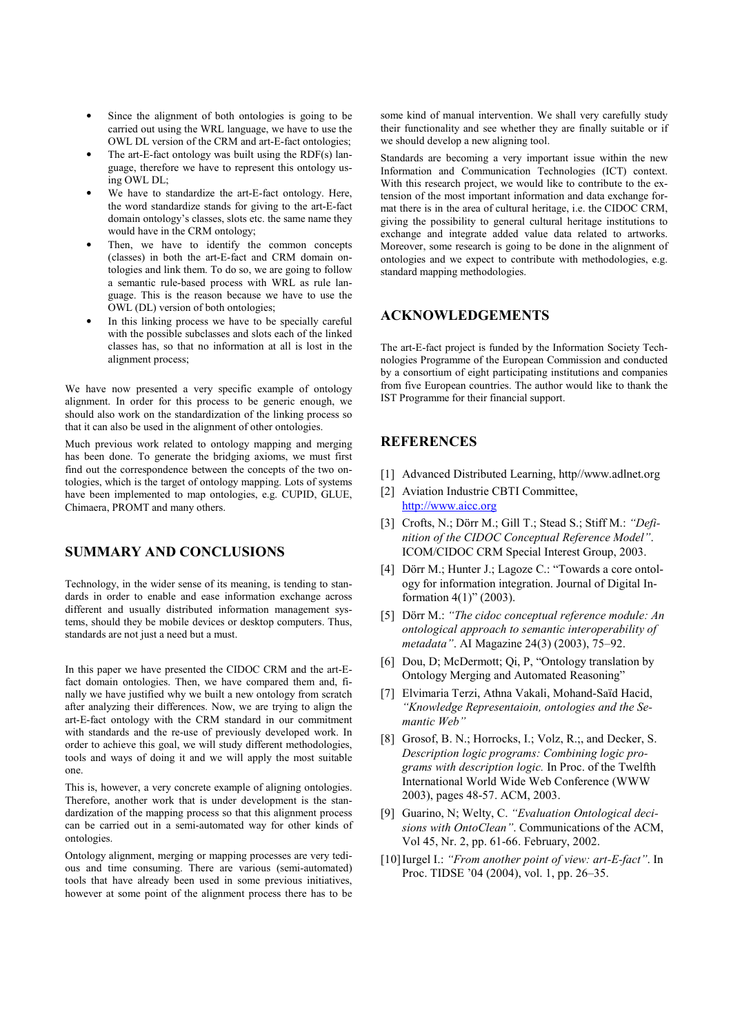- Since the alignment of both ontologies is going to be carried out using the WRL language, we have to use the OWL DL version of the CRM and art-E-fact ontologies;
- The art-E-fact ontology was built using the RDF(s) language, therefore we have to represent this ontology using OWL DL;
- We have to standardize the art-E-fact ontology. Here, the word standardize stands for giving to the art-E-fact domain ontology's classes, slots etc. the same name they would have in the CRM ontology;
- Then, we have to identify the common concepts (classes) in both the art-E-fact and CRM domain ontologies and link them. To do so, we are going to follow a semantic rule-based process with WRL as rule language. This is the reason because we have to use the OWL (DL) version of both ontologies;
- In this linking process we have to be specially careful with the possible subclasses and slots each of the linked classes has, so that no information at all is lost in the alignment process:

We have now presented a very specific example of ontology alignment. In order for this process to be generic enough, we should also work on the standardization of the linking process so that it can also be used in the alignment of other ontologies.

Much previous work related to ontology mapping and merging has been done. To generate the bridging axioms, we must first find out the correspondence between the concepts of the two ontologies, which is the target of ontology mapping. Lots of systems have been implemented to map ontologies, e.g. CUPID, GLUE, Chimaera, PROMT and many others.

### **SUMMARY AND CONCLUSIONS**

Technology, in the wider sense of its meaning, is tending to standards in order to enable and ease information exchange across different and usually distributed information management systems, should they be mobile devices or desktop computers. Thus, standards are not just a need but a must.

In this paper we have presented the CIDOC CRM and the art-Efact domain ontologies. Then, we have compared them and, finally we have justified why we built a new ontology from scratch after analyzing their differences. Now, we are trying to align the art-E-fact ontology with the CRM standard in our commitment with standards and the re-use of previously developed work. In order to achieve this goal, we will study different methodologies, tools and ways of doing it and we will apply the most suitable one.

This is, however, a very concrete example of aligning ontologies. Therefore, another work that is under development is the standardization of the mapping process so that this alignment process can be carried out in a semi-automated way for other kinds of ontologies.

Ontology alignment, merging or mapping processes are very tedious and time consuming. There are various (semi-automated) tools that have already been used in some previous initiatives, however at some point of the alignment process there has to be

some kind of manual intervention. We shall very carefully study their functionality and see whether they are finally suitable or if we should develop a new aligning tool.

Standards are becoming a very important issue within the new Information and Communication Technologies (ICT) context. With this research project, we would like to contribute to the extension of the most important information and data exchange format there is in the area of cultural heritage, i.e. the CIDOC CRM, giving the possibility to general cultural heritage institutions to exchange and integrate added value data related to artworks. Moreover, some research is going to be done in the alignment of ontologies and we expect to contribute with methodologies, e.g. standard mapping methodologies.

#### **ACKNOWLEDGEMENTS**

The art-E-fact project is funded by the Information Society Technologies Programme of the European Commission and conducted by a consortium of eight participating institutions and companies from five European countries. The author would like to thank the IST Programme for their financial support.

# **REFERENCES**

- [1] Advanced Distributed Learning, http//www.adlnet.org
- [2] Aviation Industrie CBTI Committee, http://www.aicc.org
- [3] Crofts, N.; Dörr M.; Gill T.; Stead S.; Stiff M.: "Definition of the CIDOC Conceptual Reference Model' **ICOM/CIDOC CRM Special Interest Group, 2003.**
- [4] Dörr M.; Hunter J.; Lagoze C.: "Towards a core ontology for information integration. Journal of Digital Information  $4(1)$ " (2003).
- [5] Dörr M.: "The cidoc conceptual reference module: An ontological approach to semantic interoperability of metadata". AI Magazine 24(3) (2003), 75-92.
- [6] Dou, D; McDermott; Qi, P, "Ontology translation by Ontology Merging and Automated Reasoning"
- [7] Elvimaria Terzi, Athna Vakali, Mohand-Saïd Hacid. "Knowledge Representaioin, ontologies and the Semantic Weh"
- [8] Grosof, B. N.; Horrocks, I.; Volz, R.;, and Decker, S. Description logic programs: Combining logic programs with description logic. In Proc. of the Twelfth International World Wide Web Conference (WWW 2003), pages 48-57. ACM, 2003.
- [9] Guarino, N; Welty, C. "Evaluation Ontological decisions with OntoClean". Communications of the ACM, Vol 45, Nr. 2, pp. 61-66. February, 2002.
- [10] Iurgel I.: "From another point of view: art-E-fact". In Proc. TIDSE '04 (2004), vol. 1, pp. 26–35.